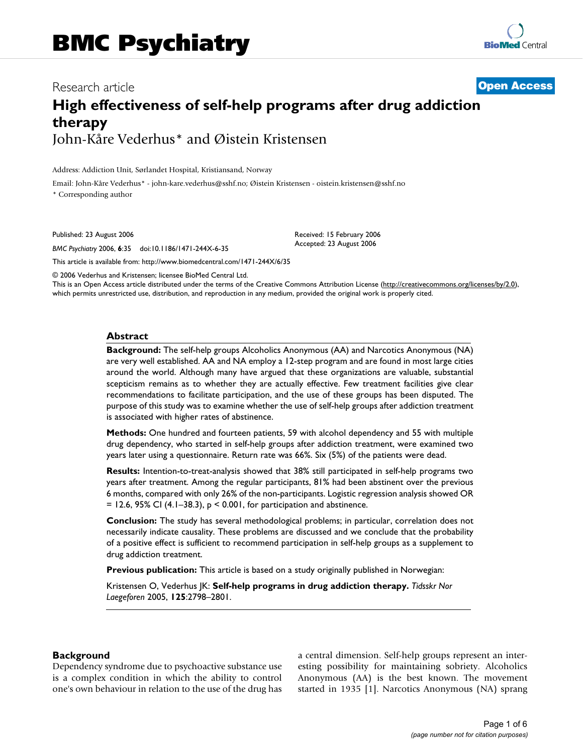# Research article **[Open Access](http://www.biomedcentral.com/info/about/charter/) High effectiveness of self-help programs after drug addiction therapy** John-Kåre Vederhus\* and Øistein Kristensen

Address: Addiction Unit, Sørlandet Hospital, Kristiansand, Norway

Email: John-Kåre Vederhus\* - john-kare.vederhus@sshf.no; Øistein Kristensen - oistein.kristensen@sshf.no

\* Corresponding author

Published: 23 August 2006

*BMC Psychiatry* 2006, **6**:35 doi:10.1186/1471-244X-6-35

[This article is available from: http://www.biomedcentral.com/1471-244X/6/35](http://www.biomedcentral.com/1471-244X/6/35)

© 2006 Vederhus and Kristensen; licensee BioMed Central Ltd.

This is an Open Access article distributed under the terms of the Creative Commons Attribution License [\(http://creativecommons.org/licenses/by/2.0\)](http://creativecommons.org/licenses/by/2.0), which permits unrestricted use, distribution, and reproduction in any medium, provided the original work is properly cited.

Received: 15 February 2006 Accepted: 23 August 2006

#### **Abstract**

**Background:** The self-help groups Alcoholics Anonymous (AA) and Narcotics Anonymous (NA) are very well established. AA and NA employ a 12-step program and are found in most large cities around the world. Although many have argued that these organizations are valuable, substantial scepticism remains as to whether they are actually effective. Few treatment facilities give clear recommendations to facilitate participation, and the use of these groups has been disputed. The purpose of this study was to examine whether the use of self-help groups after addiction treatment is associated with higher rates of abstinence.

**Methods:** One hundred and fourteen patients, 59 with alcohol dependency and 55 with multiple drug dependency, who started in self-help groups after addiction treatment, were examined two years later using a questionnaire. Return rate was 66%. Six (5%) of the patients were dead.

**Results:** Intention-to-treat-analysis showed that 38% still participated in self-help programs two years after treatment. Among the regular participants, 81% had been abstinent over the previous 6 months, compared with only 26% of the non-participants. Logistic regression analysis showed OR  $= 12.6$ , 95% CI (4.1–38.3),  $p < 0.001$ , for participation and abstinence.

**Conclusion:** The study has several methodological problems; in particular, correlation does not necessarily indicate causality. These problems are discussed and we conclude that the probability of a positive effect is sufficient to recommend participation in self-help groups as a supplement to drug addiction treatment.

**Previous publication:** This article is based on a study originally published in Norwegian:

Kristensen O, Vederhus JK: **Self-help programs in drug addiction therapy.** *Tidsskr Nor Laegeforen* 2005, **125**:2798–2801.

#### **Background**

Dependency syndrome due to psychoactive substance use is a complex condition in which the ability to control one's own behaviour in relation to the use of the drug has a central dimension. Self-help groups represent an interesting possibility for maintaining sobriety. Alcoholics Anonymous (AA) is the best known. The movement started in 1935 [1]. Narcotics Anonymous (NA) sprang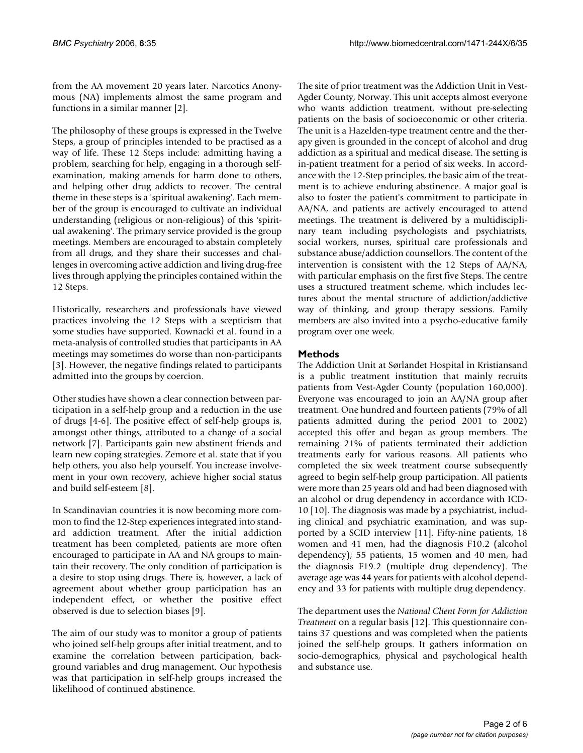from the AA movement 20 years later. Narcotics Anonymous (NA) implements almost the same program and functions in a similar manner [2].

The philosophy of these groups is expressed in the Twelve Steps, a group of principles intended to be practised as a way of life. These 12 Steps include: admitting having a problem, searching for help, engaging in a thorough selfexamination, making amends for harm done to others, and helping other drug addicts to recover. The central theme in these steps is a 'spiritual awakening'. Each member of the group is encouraged to cultivate an individual understanding (religious or non-religious) of this 'spiritual awakening'. The primary service provided is the group meetings. Members are encouraged to abstain completely from all drugs, and they share their successes and challenges in overcoming active addiction and living drug-free lives through applying the principles contained within the 12 Steps.

Historically, researchers and professionals have viewed practices involving the 12 Steps with a scepticism that some studies have supported. Kownacki et al. found in a meta-analysis of controlled studies that participants in AA meetings may sometimes do worse than non-participants [3]. However, the negative findings related to participants admitted into the groups by coercion.

Other studies have shown a clear connection between participation in a self-help group and a reduction in the use of drugs [4-6]. The positive effect of self-help groups is, amongst other things, attributed to a change of a social network [7]. Participants gain new abstinent friends and learn new coping strategies. Zemore et al. state that if you help others, you also help yourself. You increase involvement in your own recovery, achieve higher social status and build self-esteem [8].

In Scandinavian countries it is now becoming more common to find the 12-Step experiences integrated into standard addiction treatment. After the initial addiction treatment has been completed, patients are more often encouraged to participate in AA and NA groups to maintain their recovery. The only condition of participation is a desire to stop using drugs. There is, however, a lack of agreement about whether group participation has an independent effect, or whether the positive effect observed is due to selection biases [9].

The aim of our study was to monitor a group of patients who joined self-help groups after initial treatment, and to examine the correlation between participation, background variables and drug management. Our hypothesis was that participation in self-help groups increased the likelihood of continued abstinence.

The site of prior treatment was the Addiction Unit in Vest-Agder County, Norway. This unit accepts almost everyone who wants addiction treatment, without pre-selecting patients on the basis of socioeconomic or other criteria. The unit is a Hazelden-type treatment centre and the therapy given is grounded in the concept of alcohol and drug addiction as a spiritual and medical disease. The setting is in-patient treatment for a period of six weeks. In accordance with the 12-Step principles, the basic aim of the treatment is to achieve enduring abstinence. A major goal is also to foster the patient's commitment to participate in AA/NA, and patients are actively encouraged to attend meetings. The treatment is delivered by a multidisciplinary team including psychologists and psychiatrists, social workers, nurses, spiritual care professionals and substance abuse/addiction counsellors. The content of the intervention is consistent with the 12 Steps of AA/NA, with particular emphasis on the first five Steps. The centre uses a structured treatment scheme, which includes lectures about the mental structure of addiction/addictive way of thinking, and group therapy sessions. Family members are also invited into a psycho-educative family program over one week.

## **Methods**

The Addiction Unit at Sørlandet Hospital in Kristiansand is a public treatment institution that mainly recruits patients from Vest-Agder County (population 160,000). Everyone was encouraged to join an AA/NA group after treatment. One hundred and fourteen patients (79% of all patients admitted during the period 2001 to 2002) accepted this offer and began as group members. The remaining 21% of patients terminated their addiction treatments early for various reasons. All patients who completed the six week treatment course subsequently agreed to begin self-help group participation. All patients were more than 25 years old and had been diagnosed with an alcohol or drug dependency in accordance with ICD-10 [10]. The diagnosis was made by a psychiatrist, including clinical and psychiatric examination, and was supported by a SCID interview [11]. Fifty-nine patients, 18 women and 41 men, had the diagnosis F10.2 (alcohol dependency); 55 patients, 15 women and 40 men, had the diagnosis F19.2 (multiple drug dependency). The average age was 44 years for patients with alcohol dependency and 33 for patients with multiple drug dependency.

The department uses the *National Client Form for Addiction Treatment* on a regular basis [12]. This questionnaire contains 37 questions and was completed when the patients joined the self-help groups. It gathers information on socio-demographics, physical and psychological health and substance use.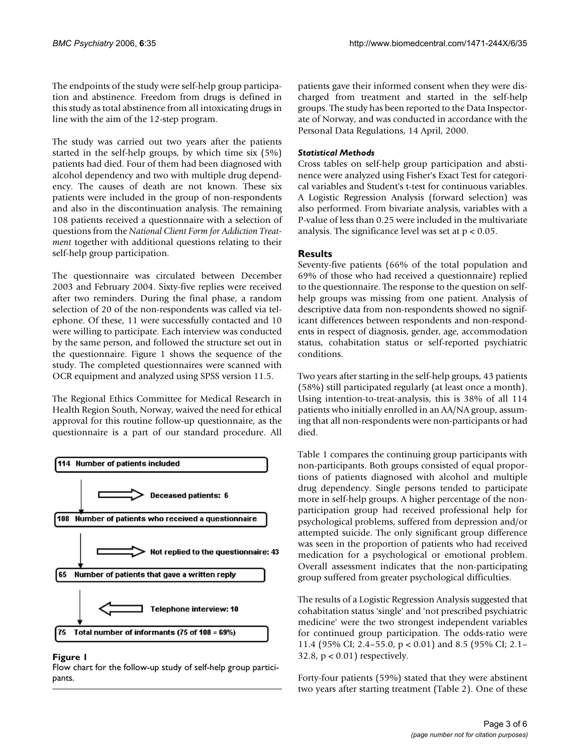The endpoints of the study were self-help group participation and abstinence. Freedom from drugs is defined in this study as total abstinence from all intoxicating drugs in line with the aim of the 12-step program.

The study was carried out two years after the patients started in the self-help groups, by which time six (5%) patients had died. Four of them had been diagnosed with alcohol dependency and two with multiple drug dependency. The causes of death are not known. These six patients were included in the group of non-respondents and also in the discontinuation analysis. The remaining 108 patients received a questionnaire with a selection of questions from the *National Client Form for Addiction Treatment* together with additional questions relating to their self-help group participation.

The questionnaire was circulated between December 2003 and February 2004. Sixty-five replies were received after two reminders. During the final phase, a random selection of 20 of the non-respondents was called via telephone. Of these, 11 were successfully contacted and 10 were willing to participate. Each interview was conducted by the same person, and followed the structure set out in the questionnaire. Figure 1 shows the sequence of the study. The completed questionnaires were scanned with OCR equipment and analyzed using SPSS version 11.5.

The Regional Ethics Committee for Medical Research in Health Region South, Norway, waived the need for ethical approval for this routine follow-up questionnaire, as the questionnaire is a part of our standard procedure. All



#### Figure 1

Flow chart for the follow-up study of self-help group participants.

patients gave their informed consent when they were discharged from treatment and started in the self-help groups. The study has been reported to the Data Inspectorate of Norway, and was conducted in accordance with the Personal Data Regulations, 14 April, 2000.

## *Statistical Methods*

Cross tables on self-help group participation and abstinence were analyzed using Fisher's Exact Test for categorical variables and Student's t-test for continuous variables. A Logistic Regression Analysis (forward selection) was also performed. From bivariate analysis, variables with a P-value of less than 0.25 were included in the multivariate analysis. The significance level was set at  $p < 0.05$ .

## **Results**

Seventy-five patients (66% of the total population and 69% of those who had received a questionnaire) replied to the questionnaire. The response to the question on selfhelp groups was missing from one patient. Analysis of descriptive data from non-respondents showed no significant differences between respondents and non-respondents in respect of diagnosis, gender, age, accommodation status, cohabitation status or self-reported psychiatric conditions.

Two years after starting in the self-help groups, 43 patients (58%) still participated regularly (at least once a month). Using intention-to-treat-analysis, this is 38% of all 114 patients who initially enrolled in an AA/NA group, assuming that all non-respondents were non-participants or had died.

Table 1 compares the continuing group participants with non-participants. Both groups consisted of equal proportions of patients diagnosed with alcohol and multiple drug dependency. Single persons tended to participate more in self-help groups. A higher percentage of the nonparticipation group had received professional help for psychological problems, suffered from depression and/or attempted suicide. The only significant group difference was seen in the proportion of patients who had received medication for a psychological or emotional problem. Overall assessment indicates that the non-participating group suffered from greater psychological difficulties.

The results of a Logistic Regression Analysis suggested that cohabitation status 'single' and 'not prescribed psychiatric medicine' were the two strongest independent variables for continued group participation. The odds-ratio were 11.4 (95% CI; 2.4–55.0, p < 0.01) and 8.5 (95% CI; 2.1– 32.8, p < 0.01) respectively.

Forty-four patients (59%) stated that they were abstinent two years after starting treatment (Table 2). One of these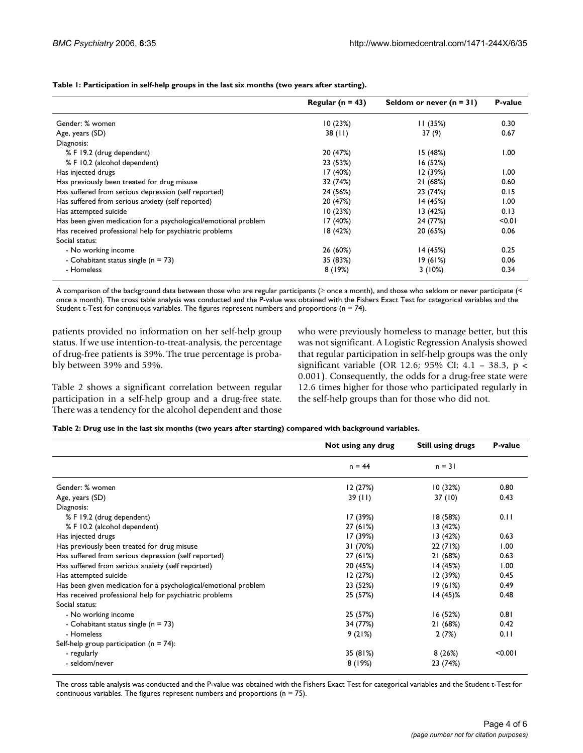**Table 1: Participation in self-help groups in the last six months (two years after starting).**

|                                                                 | Regular ( $n = 43$ ) | Seldom or never $(n = 31)$ | P-value |
|-----------------------------------------------------------------|----------------------|----------------------------|---------|
| Gender: % women                                                 | 10(23%)              | 11(35%)                    | 0.30    |
| Age, years (SD)                                                 | 38(11)               | 37 (9)                     | 0.67    |
| Diagnosis:                                                      |                      |                            |         |
| % F 19.2 (drug dependent)                                       | 20 (47%)             | 15(48%)                    | 1.00    |
| % F 10.2 (alcohol dependent)                                    | 23 (53%)             | 16(52%)                    |         |
| Has injected drugs                                              | 17 (40%)             | 12 (39%)                   | 1.00    |
| Has previously been treated for drug misuse                     | 32 (74%)             | 21(68%)                    | 0.60    |
| Has suffered from serious depression (self reported)            | 24 (56%)             | 23 (74%)                   | 0.15    |
| Has suffered from serious anxiety (self reported)               | 20 (47%)             | 14 (45%)                   | 1.00    |
| Has attempted suicide                                           | 10(23%)              | 13(42%)                    | 0.13    |
| Has been given medication for a psychological/emotional problem | 17 (40%)             | 24 (77%)                   | < 0.01  |
| Has received professional help for psychiatric problems         | 18 (42%)             | 20 (65%)                   | 0.06    |
| Social status:                                                  |                      |                            |         |
| - No working income                                             | 26 (60%)             | 14 (45%)                   | 0.25    |
| - Cohabitant status single ( $n = 73$ )                         | 35 (83%)             | 19(61%)                    | 0.06    |
| - Homeless                                                      | 8(19%)               | 3(10%)                     | 0.34    |

A comparison of the background data between those who are regular participants (≥ once a month), and those who seldom or never participate (< once a month). The cross table analysis was conducted and the P-value was obtained with the Fishers Exact Test for categorical variables and the Student t-Test for continuous variables. The figures represent numbers and proportions (n = 74).

patients provided no information on her self-help group status. If we use intention-to-treat-analysis, the percentage of drug-free patients is 39%. The true percentage is probably between 39% and 59%.

Table 2 shows a significant correlation between regular participation in a self-help group and a drug-free state. There was a tendency for the alcohol dependent and those who were previously homeless to manage better, but this was not significant. A Logistic Regression Analysis showed that regular participation in self-help groups was the only significant variable (OR 12.6; 95% CI; 4.1 – 38.3, p < 0.001). Consequently, the odds for a drug-free state were 12.6 times higher for those who participated regularly in the self-help groups than for those who did not.

|  |  | Table 2: Drug use in the last six months (two years after starting) compared with background variables. |
|--|--|---------------------------------------------------------------------------------------------------------|
|--|--|---------------------------------------------------------------------------------------------------------|

|                                                                 | Not using any drug | <b>Still using drugs</b> | <b>P-value</b> |
|-----------------------------------------------------------------|--------------------|--------------------------|----------------|
|                                                                 | $n = 44$           | $n = 31$                 |                |
| Gender: % women                                                 | 12 (27%)           | 10(32%)                  | 0.80           |
| Age, years (SD)                                                 | 39 (11)            | 37 (10)                  | 0.43           |
| Diagnosis:                                                      |                    |                          |                |
| % F 19.2 (drug dependent)                                       | 17 (39%)           | 18(58%)                  | 0.11           |
| % F 10.2 (alcohol dependent)                                    | 27(61%)            | 13(42%)                  |                |
| Has injected drugs                                              | 17 (39%)           | 13(42%)                  | 0.63           |
| Has previously been treated for drug misuse                     | 31 (70%)           | 22 (71%)                 | 1.00           |
| Has suffered from serious depression (self reported)            | 27 (61%)           | 21(68%)                  | 0.63           |
| Has suffered from serious anxiety (self reported)               | 20 (45%)           | 14 (45%)                 | 1.00           |
| Has attempted suicide                                           | 12(27%)            | 12(39%)                  | 0.45           |
| Has been given medication for a psychological/emotional problem | 23 (52%)           | 19(61%)                  | 0.49           |
| Has received professional help for psychiatric problems         | 25 (57%)           | 14 (45)%                 | 0.48           |
| Social status:                                                  |                    |                          |                |
| - No working income                                             | 25 (57%)           | 16(52%)                  | 0.81           |
| - Cohabitant status single ( $n = 73$ )                         | 34 (77%)           | 21(68%)                  | 0.42           |
| - Homeless                                                      | 9(21%)             | 2(7%)                    | 0.11           |
| Self-help group participation ( $n = 74$ ):                     |                    |                          |                |
| - regularly                                                     | 35 (81%)           | 8(26%)                   | < 0.001        |
| - seldom/never                                                  | 8 (19%)            | 23 (74%)                 |                |

The cross table analysis was conducted and the P-value was obtained with the Fishers Exact Test for categorical variables and the Student t-Test for continuous variables. The figures represent numbers and proportions ( $n = 75$ ).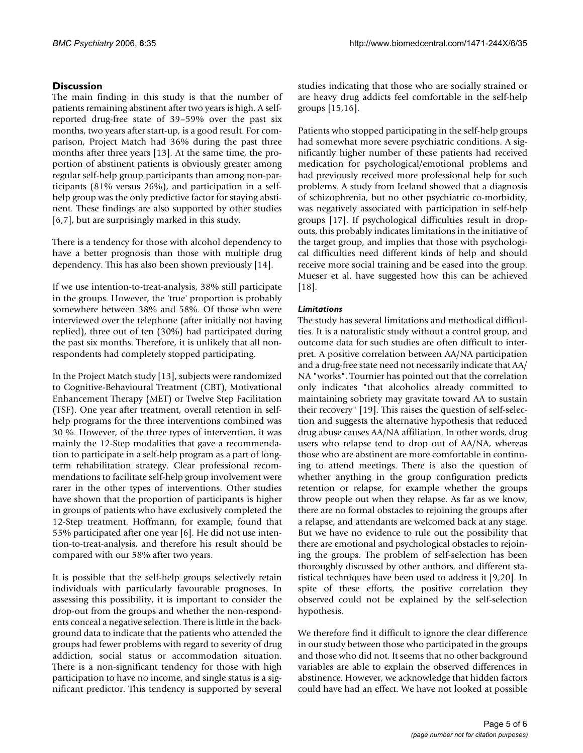## **Discussion**

The main finding in this study is that the number of patients remaining abstinent after two years is high. A selfreported drug-free state of 39–59% over the past six months, two years after start-up, is a good result. For comparison, Project Match had 36% during the past three months after three years [13]. At the same time, the proportion of abstinent patients is obviously greater among regular self-help group participants than among non-participants (81% versus 26%), and participation in a selfhelp group was the only predictive factor for staying abstinent. These findings are also supported by other studies [6,7], but are surprisingly marked in this study.

There is a tendency for those with alcohol dependency to have a better prognosis than those with multiple drug dependency. This has also been shown previously [14].

If we use intention-to-treat-analysis, 38% still participate in the groups. However, the 'true' proportion is probably somewhere between 38% and 58%. Of those who were interviewed over the telephone (after initially not having replied), three out of ten (30%) had participated during the past six months. Therefore, it is unlikely that all nonrespondents had completely stopped participating.

In the Project Match study [13], subjects were randomized to Cognitive-Behavioural Treatment (CBT), Motivational Enhancement Therapy (MET) or Twelve Step Facilitation (TSF). One year after treatment, overall retention in selfhelp programs for the three interventions combined was 30 %. However, of the three types of intervention, it was mainly the 12-Step modalities that gave a recommendation to participate in a self-help program as a part of longterm rehabilitation strategy. Clear professional recommendations to facilitate self-help group involvement were rarer in the other types of interventions. Other studies have shown that the proportion of participants is higher in groups of patients who have exclusively completed the 12-Step treatment. Hoffmann, for example, found that 55% participated after one year [6]. He did not use intention-to-treat-analysis, and therefore his result should be compared with our 58% after two years.

It is possible that the self-help groups selectively retain individuals with particularly favourable prognoses. In assessing this possibility, it is important to consider the drop-out from the groups and whether the non-respondents conceal a negative selection. There is little in the background data to indicate that the patients who attended the groups had fewer problems with regard to severity of drug addiction, social status or accommodation situation. There is a non-significant tendency for those with high participation to have no income, and single status is a significant predictor. This tendency is supported by several

studies indicating that those who are socially strained or are heavy drug addicts feel comfortable in the self-help groups [15,16].

Patients who stopped participating in the self-help groups had somewhat more severe psychiatric conditions. A significantly higher number of these patients had received medication for psychological/emotional problems and had previously received more professional help for such problems. A study from Iceland showed that a diagnosis of schizophrenia, but no other psychiatric co-morbidity, was negatively associated with participation in self-help groups [17]. If psychological difficulties result in dropouts, this probably indicates limitations in the initiative of the target group, and implies that those with psychological difficulties need different kinds of help and should receive more social training and be eased into the group. Mueser et al. have suggested how this can be achieved [18].

## *Limitations*

The study has several limitations and methodical difficulties. It is a naturalistic study without a control group, and outcome data for such studies are often difficult to interpret. A positive correlation between AA/NA participation and a drug-free state need not necessarily indicate that AA/ NA "works". Tournier has pointed out that the correlation only indicates "that alcoholics already committed to maintaining sobriety may gravitate toward AA to sustain their recovery" [19]. This raises the question of self-selection and suggests the alternative hypothesis that reduced drug abuse causes AA/NA affiliation. In other words, drug users who relapse tend to drop out of AA/NA, whereas those who are abstinent are more comfortable in continuing to attend meetings. There is also the question of whether anything in the group configuration predicts retention or relapse, for example whether the groups throw people out when they relapse. As far as we know, there are no formal obstacles to rejoining the groups after a relapse, and attendants are welcomed back at any stage. But we have no evidence to rule out the possibility that there are emotional and psychological obstacles to rejoining the groups. The problem of self-selection has been thoroughly discussed by other authors, and different statistical techniques have been used to address it [9,20]. In spite of these efforts, the positive correlation they observed could not be explained by the self-selection hypothesis.

We therefore find it difficult to ignore the clear difference in our study between those who participated in the groups and those who did not. It seems that no other background variables are able to explain the observed differences in abstinence. However, we acknowledge that hidden factors could have had an effect. We have not looked at possible